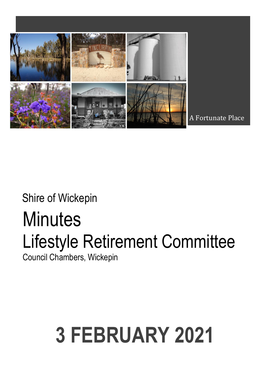

A Fortunate Place

### Shire of Wickepin

## **Minutes** Lifestyle Retirement Committee

Council Chambers, Wickepin

# **3 FEBRUARY 2021**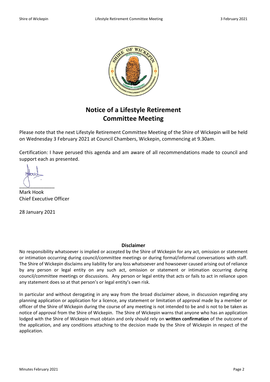

### **Notice of a Lifestyle Retirement Committee Meeting**

Please note that the next Lifestyle Retirement Committee Meeting of the Shire of Wickepin will be held on Wednesday 3 February 2021 at Council Chambers, Wickepin, commencing at 9.30am.

Certification: I have perused this agenda and am aware of all recommendations made to council and support each as presented.

 $\cup$ 

Mark Hook Chief Executive Officer

28 January 2021

#### **Disclaimer**

No responsibility whatsoever is implied or accepted by the Shire of Wickepin for any act, omission or statement or intimation occurring during council/committee meetings or during formal/informal conversations with staff. The Shire of Wickepin disclaims any liability for any loss whatsoever and howsoever caused arising out of reliance by any person or legal entity on any such act, omission or statement or intimation occurring during council/committee meetings or discussions. Any person or legal entity that acts or fails to act in reliance upon any statement does so at that person's or legal entity's own risk.

In particular and without derogating in any way from the broad disclaimer above, in discussion regarding any planning application or application for a licence, any statement or limitation of approval made by a member or officer of the Shire of Wickepin during the course of any meeting is not intended to be and is not to be taken as notice of approval from the Shire of Wickepin. The Shire of Wickepin warns that anyone who has an application lodged with the Shire of Wickepin must obtain and only should rely on **written confirmation** of the outcome of the application, and any conditions attaching to the decision made by the Shire of Wickepin in respect of the application.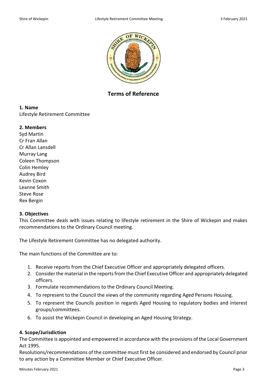

**Terms of Reference**

#### **1. Name**

Lifestyle Retirement Committee

#### **2. Members**

Syd Martin Cr Fran Allan Cr Allan Lansdell Murray Lang Coleen Thompson Colin Hemley Audrey Bird Kevin Coxon Leanne Smith Steve Rose Rex Bergin

#### **3. Objectives**

This Committee deals with issues relating to lifestyle retirement in the Shire of Wickepin and makes recommendations to the Ordinary Council meeting.

The Lifestyle Retirement Committee has no delegated authority.

The main functions of the Committee are to:

- 1. Receive reports from the Chief Executive Officer and appropriately delegated officers.
- 2. Consider the material in the reports from the Chief Executive Officer and appropriately delegated officers.
- 3. Formulate recommendations to the Ordinary Council Meeting.
- 4. To represent to the Council the views of the community regarding Aged Persons Housing.
- 5. To represent the Councils position in regards Aged Housing to regulatory bodies and interest groups/committees.
- 6. To assist the Wickepin Council in developing an Aged Housing Strategy.

#### **4. Scope/Jurisdiction**

The Committee is appointed and empowered in accordance with the provisions of the Local Government Act 1995.

Resolutions/recommendations of the committee must first be considered and endorsed by Council prior to any action by a Committee Member or Chief Executive Officer.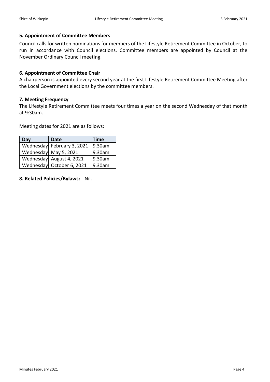#### **5. Appointment of Committee Members**

Council calls for written nominations for members of the Lifestyle Retirement Committee in October, to run in accordance with Council elections. Committee members are appointed by Council at the November Ordinary Council meeting.

#### **6. Appointment of Committee Chair**

A chairperson is appointed every second year at the first Lifestyle Retirement Committee Meeting after the Local Government elections by the committee members.

#### **7. Meeting Frequency**

The Lifestyle Retirement Committee meets four times a year on the second Wednesday of that month at 9:30am.

Meeting dates for 2021 are as follows:

| Day | <b>Date</b>                | <b>Time</b> |  |
|-----|----------------------------|-------------|--|
|     | Wednesday February 3, 2021 | 9.30am      |  |
|     | Wednesday May 5, 2021      | 9.30am      |  |
|     | Wednesday August 4, 2021   | 9.30am      |  |
|     | Wednesday October 6, 2021  | 9.30am      |  |

**8. Related Policies/Bylaws:** Nil.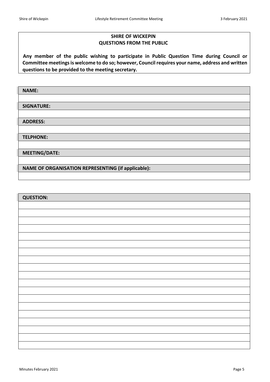#### **SHIRE OF WICKEPIN QUESTIONS FROM THE PUBLIC**

 **Any member of the public wishing to participate in Public Question Time during Council or Committee meetings is welcome to do so; however, Council requires your name, address and written questions to be provided to the meeting secretary.**

| <b>NAME:</b>                                       |
|----------------------------------------------------|
|                                                    |
| <b>SIGNATURE:</b>                                  |
|                                                    |
| <b>ADDRESS:</b>                                    |
|                                                    |
| <b>TELPHONE:</b>                                   |
|                                                    |
| <b>MEETING/DATE:</b>                               |
|                                                    |
| NAME OF ORGANISATION REPRESENTING (if applicable): |
|                                                    |

| <b>QUESTION:</b> |
|------------------|
|                  |
|                  |
|                  |
|                  |
|                  |
|                  |
|                  |
|                  |
|                  |
|                  |
|                  |
|                  |
|                  |
|                  |
|                  |
|                  |
|                  |
|                  |
|                  |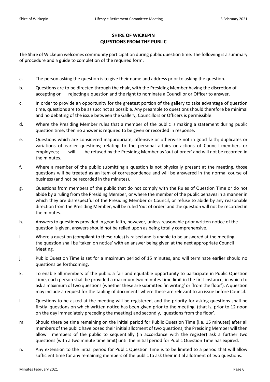#### **SHIRE OF WICKEPIN QUESTIONS FROM THE PUBLIC**

The Shire of Wickepin welcomes community participation during public question time. The following is a summary of procedure and a guide to completion of the required form.

- a. The person asking the question is to give their name and address prior to asking the question.
- b. Questions are to be directed through the chair, with the Presiding Member having the discretion of accepting or rejecting a question and the right to nominate a Councillor or Officer to answer.
- c. In order to provide an opportunity for the greatest portion of the gallery to take advantage of question time, questions are to be as succinct as possible. Any preamble to questions should therefore be minimal and no debating of the issue between the Gallery, Councillors or Officers is permissible.
- d. Where the Presiding Member rules that a member of the public is making a statement during public question time, then no answer is required to be given or recorded in response.
- e. Questions which are considered inappropriate; offensive or otherwise not in good faith; duplicates or variations of earlier questions; relating to the personal affairs or actions of Council members or employees; will be refused by the Presiding Member as 'out of order' and will not be recorded in the minutes.
- f. Where a member of the public submitting a question is not physically present at the meeting, those questions will be treated as an item of correspondence and will be answered in the normal course of business (and not be recorded in the minutes).
- g. Questions from members of the public that do not comply with the Rules of Question Time or do not abide by a ruling from the Presiding Member, or where the member of the public behaves in a manner in which they are disrespectful of the Presiding Member or Council, or refuse to abide by any reasonable direction from the Presiding Member, will be ruled 'out of order' and the question will not be recorded in the minutes.
- h. Answers to questions provided in good faith, however, unless reasonable prior written notice of the question is given, answers should not be relied upon as being totally comprehensive.
- i. Where a question (compliant to these rules) is raised and is unable to be answered at the meeting, the question shall be 'taken on notice' with an answer being given at the next appropriate Council Meeting.
- j. Public Question Time is set for a maximum period of 15 minutes, and will terminate earlier should no questions be forthcoming.
- k. To enable all members of the public a fair and equitable opportunity to participate in Public Question Time, each person shall be provided a maximum two minutes time limit in the first instance, in which to ask a maximum of two questions (whether these are submitted 'in writing' or 'from the floor'). A question may include a request for the tabling of documents where these are relevant to an issue before Council.
- l. Questions to be asked at the meeting will be registered, and the priority for asking questions shall be firstly 'questions on which written notice has been given prior to the meeting' (that is, prior to 12 noon on the day immediately preceding the meeting) and secondly, 'questions from the floor'.
- m. Should there be time remaining on the initial period for Public Question Time (i.e. 15 minutes) after all members of the public have posed their initial allotment of two questions, the Presiding Member will then allow members of the public to sequentially (in accordance with the register) ask a further two questions (with a two minute time limit) until the initial period for Public Question Time has expired.
- n. Any extension to the initial period for Public Question Time is to be limited to a period that will allow sufficient time for any remaining members of the public to ask their initial allotment of two questions.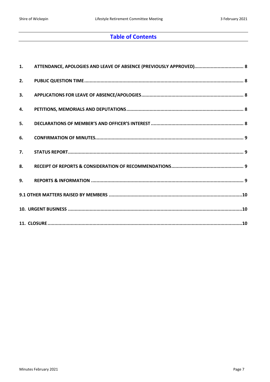#### **Table of Contents**

|    | 1. ATTENDANCE, APOLOGIES AND LEAVE OF ABSENCE (PREVIOUSLY APPROVED) 8 |  |
|----|-----------------------------------------------------------------------|--|
| 2. |                                                                       |  |
| 3. |                                                                       |  |
| 4. |                                                                       |  |
| 5. |                                                                       |  |
| 6. |                                                                       |  |
| 7. |                                                                       |  |
| 8. |                                                                       |  |
| 9. |                                                                       |  |
|    |                                                                       |  |
|    |                                                                       |  |
|    |                                                                       |  |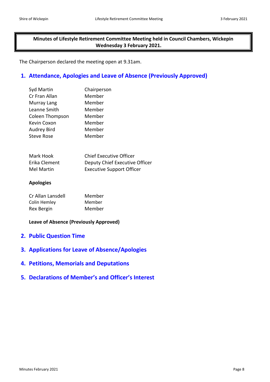**Minutes of Lifestyle Retirement Committee Meeting held in Council Chambers, Wickepin Wednesday 3 February 2021.**

The Chairperson declared the meeting open at 9.31am.

#### <span id="page-7-0"></span>**1. Attendance, Apologies and Leave of Absence (Previously Approved)**

| Chairperson |  |  |
|-------------|--|--|
| Member      |  |  |
| Member      |  |  |
| Member      |  |  |
| Member      |  |  |
| Member      |  |  |
| Member      |  |  |
| Member      |  |  |
|             |  |  |

| Mark Hook     | <b>Chief Executive Officer</b>   |
|---------------|----------------------------------|
| Erika Clement | Deputy Chief Executive Officer   |
| Mel Martin    | <b>Executive Support Officer</b> |

#### **Apologies**

| Cr Allan Lansdell | Member |
|-------------------|--------|
| Colin Hemley      | Member |
| <b>Rex Bergin</b> | Member |

#### **Leave of Absence (Previously Approved)**

- <span id="page-7-1"></span>**2. Public Question Time**
- <span id="page-7-2"></span>**3. Applications for Leave of Absence/Apologies**
- <span id="page-7-3"></span>**4. Petitions, Memorials and Deputations**
- <span id="page-7-4"></span>**5. Declarations of Member's and Officer's Interest**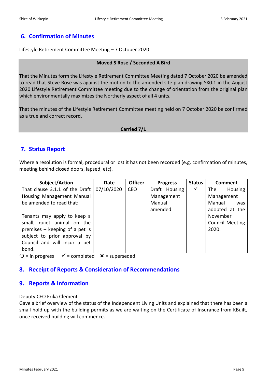#### <span id="page-8-0"></span>**6. Confirmation of Minutes**

Lifestyle Retirement Committee Meeting – 7 October 2020.

#### **Moved S Rose / Seconded A Bird**

That the Minutes form the Lifestyle Retirement Committee Meeting dated 7 October 2020 be amended to read that Steve Rose was against the motion to the amended site plan drawing SK0.1 in the August 2020 Lifestyle Retirement Committee meeting due to the change of orientation from the original plan which environmentally maximizes the Northerly aspect of all 4 units.

That the minutes of the Lifestyle Retirement Committee meeting held on 7 October 2020 be confirmed as a true and correct record.

#### **Carried 7/1**

#### <span id="page-8-1"></span>**7. Status Report**

Where a resolution is formal, procedural or lost it has not been recorded (e.g. confirmation of minutes, meeting behind closed doors, lapsed, etc).

| Subject/Action                 | Date       | <b>Officer</b> | <b>Progress</b> | <b>Status</b> | <b>Comment</b>         |
|--------------------------------|------------|----------------|-----------------|---------------|------------------------|
| That clause 3.1.1 of the Draft | 07/10/2020 | CEO            | Draft Housing   | ✓             | The<br>Housing         |
| Housing Management Manual      |            |                | Management      |               | Management             |
| be amended to read that:       |            |                | Manual          |               | Manual<br>was          |
|                                |            |                | amended.        |               | adopted at the         |
| Tenants may apply to keep a    |            |                |                 |               | November               |
| small, quiet animal on the     |            |                |                 |               | <b>Council Meeting</b> |
| premises - keeping of a pet is |            |                |                 |               | 2020.                  |
| subject to prior approval by   |            |                |                 |               |                        |
| Council and will incur a pet   |            |                |                 |               |                        |
| bond.                          |            |                |                 |               |                        |

 $Q$  = in progress  $\checkmark$  = completed  $\checkmark$  = superseded

#### <span id="page-8-2"></span>**8. Receipt of Reports & Consideration of Recommendations**

#### <span id="page-8-3"></span>**9. Reports & Information**

#### Deputy CEO Erika Clement

Gave a brief overview of the status of the Independent Living Units and explained that there has been a small hold up with the building permits as we are waiting on the Certificate of Insurance from KBuilt, once received building will commence.